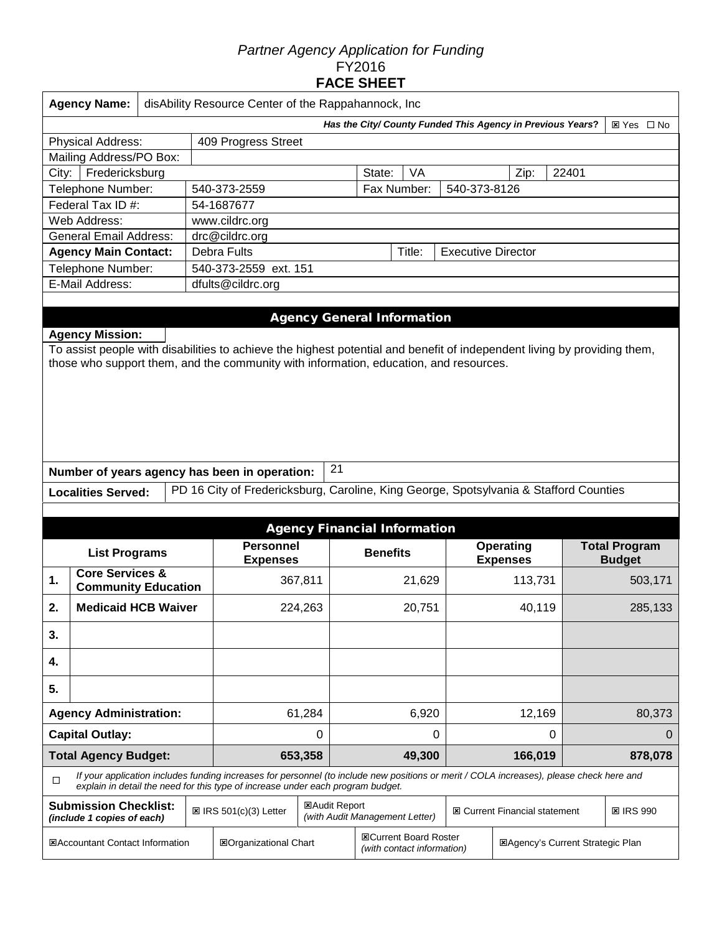# *Partner Agency Application for Funding*  FY2016 **FACE SHEET**

|                                          | <b>Agency Name:</b>                                                                                                                                                                                                                         | disAbility Resource Center of the Rappahannock, Inc |  |                                                                                                                                                                                                                             |                               |       |                                                            |        |        |                                         |        |                                       |  |
|------------------------------------------|---------------------------------------------------------------------------------------------------------------------------------------------------------------------------------------------------------------------------------------------|-----------------------------------------------------|--|-----------------------------------------------------------------------------------------------------------------------------------------------------------------------------------------------------------------------------|-------------------------------|-------|------------------------------------------------------------|--------|--------|-----------------------------------------|--------|---------------------------------------|--|
|                                          | Has the City/ County Funded This Agency in Previous Years?<br>⊠ Yes □ No                                                                                                                                                                    |                                                     |  |                                                                                                                                                                                                                             |                               |       |                                                            |        |        |                                         |        |                                       |  |
| Physical Address:<br>409 Progress Street |                                                                                                                                                                                                                                             |                                                     |  |                                                                                                                                                                                                                             |                               |       |                                                            |        |        |                                         |        |                                       |  |
|                                          | Mailing Address/PO Box:                                                                                                                                                                                                                     |                                                     |  |                                                                                                                                                                                                                             |                               |       |                                                            |        |        |                                         |        |                                       |  |
| City:                                    | Fredericksburg                                                                                                                                                                                                                              |                                                     |  |                                                                                                                                                                                                                             | VA<br>State:<br>Zip:<br>22401 |       |                                                            |        |        |                                         |        |                                       |  |
|                                          | Telephone Number:                                                                                                                                                                                                                           |                                                     |  | 540-373-2559                                                                                                                                                                                                                | Fax Number:<br>540-373-8126   |       |                                                            |        |        |                                         |        |                                       |  |
|                                          | Federal Tax ID #:                                                                                                                                                                                                                           |                                                     |  | 54-1687677                                                                                                                                                                                                                  |                               |       |                                                            |        |        |                                         |        |                                       |  |
|                                          | Web Address:                                                                                                                                                                                                                                |                                                     |  | www.cildrc.org                                                                                                                                                                                                              |                               |       |                                                            |        |        |                                         |        |                                       |  |
|                                          | <b>General Email Address:</b>                                                                                                                                                                                                               |                                                     |  | drc@cildrc.org                                                                                                                                                                                                              |                               |       |                                                            |        |        |                                         |        |                                       |  |
|                                          | <b>Agency Main Contact:</b>                                                                                                                                                                                                                 |                                                     |  | <b>Debra Fults</b><br>Title:<br><b>Executive Director</b>                                                                                                                                                                   |                               |       |                                                            |        |        |                                         |        |                                       |  |
|                                          | Telephone Number:                                                                                                                                                                                                                           |                                                     |  | 540-373-2559 ext. 151                                                                                                                                                                                                       |                               |       |                                                            |        |        |                                         |        |                                       |  |
|                                          | E-Mail Address:                                                                                                                                                                                                                             |                                                     |  | dfults@cildrc.org                                                                                                                                                                                                           |                               |       |                                                            |        |        |                                         |        |                                       |  |
|                                          |                                                                                                                                                                                                                                             |                                                     |  |                                                                                                                                                                                                                             |                               |       |                                                            |        |        |                                         |        |                                       |  |
|                                          | <b>Agency Mission:</b><br>To assist people with disabilities to achieve the highest potential and benefit of independent living by providing them,<br>those who support them, and the community with information, education, and resources. |                                                     |  |                                                                                                                                                                                                                             |                               |       |                                                            |        |        |                                         |        |                                       |  |
|                                          |                                                                                                                                                                                                                                             |                                                     |  | Number of years agency has been in operation:                                                                                                                                                                               |                               | 21    |                                                            |        |        |                                         |        |                                       |  |
|                                          | <b>Localities Served:</b>                                                                                                                                                                                                                   |                                                     |  | PD 16 City of Fredericksburg, Caroline, King George, Spotsylvania & Stafford Counties                                                                                                                                       |                               |       |                                                            |        |        |                                         |        |                                       |  |
|                                          |                                                                                                                                                                                                                                             |                                                     |  |                                                                                                                                                                                                                             |                               |       |                                                            |        |        |                                         |        |                                       |  |
|                                          |                                                                                                                                                                                                                                             |                                                     |  |                                                                                                                                                                                                                             |                               |       | <b>Agency Financial Information</b>                        |        |        |                                         |        |                                       |  |
|                                          | <b>List Programs</b>                                                                                                                                                                                                                        |                                                     |  | <b>Personnel</b><br><b>Expenses</b>                                                                                                                                                                                         |                               |       | <b>Benefits</b>                                            |        |        | <b>Operating</b><br><b>Expenses</b>     |        | <b>Total Program</b><br><b>Budget</b> |  |
| 1.                                       | <b>Core Services &amp;</b><br><b>Community Education</b>                                                                                                                                                                                    |                                                     |  | 367,811                                                                                                                                                                                                                     |                               |       |                                                            | 21,629 |        | 113,731                                 |        | 503,171                               |  |
| 2.                                       | <b>Medicaid HCB Waiver</b>                                                                                                                                                                                                                  |                                                     |  |                                                                                                                                                                                                                             | 224,263                       |       |                                                            | 20,751 |        | 40,119                                  |        | 285,133                               |  |
| 3.                                       |                                                                                                                                                                                                                                             |                                                     |  |                                                                                                                                                                                                                             |                               |       |                                                            |        |        |                                         |        |                                       |  |
| 4.                                       |                                                                                                                                                                                                                                             |                                                     |  |                                                                                                                                                                                                                             |                               |       |                                                            |        |        |                                         |        |                                       |  |
| 5.                                       |                                                                                                                                                                                                                                             |                                                     |  |                                                                                                                                                                                                                             |                               |       |                                                            |        |        |                                         |        |                                       |  |
|                                          | <b>Agency Administration:</b>                                                                                                                                                                                                               |                                                     |  | 61,284                                                                                                                                                                                                                      |                               | 6,920 |                                                            |        | 12,169 |                                         | 80,373 |                                       |  |
| <b>Capital Outlay:</b>                   |                                                                                                                                                                                                                                             |                                                     |  | 0                                                                                                                                                                                                                           |                               | 0     |                                                            |        | 0      |                                         | 0      |                                       |  |
| <b>Total Agency Budget:</b>              |                                                                                                                                                                                                                                             |                                                     |  |                                                                                                                                                                                                                             | 653,358                       |       |                                                            | 49,300 |        | 166,019                                 |        | 878,078                               |  |
| $\Box$                                   |                                                                                                                                                                                                                                             |                                                     |  | If your application includes funding increases for personnel (to include new positions or merit / COLA increases), please check here and<br>explain in detail the need for this type of increase under each program budget. |                               |       |                                                            |        |        |                                         |        |                                       |  |
|                                          | <b>Submission Checklist:</b><br>(include 1 copies of each)                                                                                                                                                                                  |                                                     |  | <b>図Audit Report</b><br><b>図 IRS 501(c)(3) Letter</b>                                                                                                                                                                       |                               |       | (with Audit Management Letter)                             |        |        | <b>図 Current Financial statement</b>    |        | <b>図 IRS 990</b>                      |  |
| <b>E</b> Accountant Contact Information  |                                                                                                                                                                                                                                             |                                                     |  | <b>EOrganizational Chart</b>                                                                                                                                                                                                |                               |       | <b>図Current Board Roster</b><br>(with contact information) |        |        | <b>EAgency's Current Strategic Plan</b> |        |                                       |  |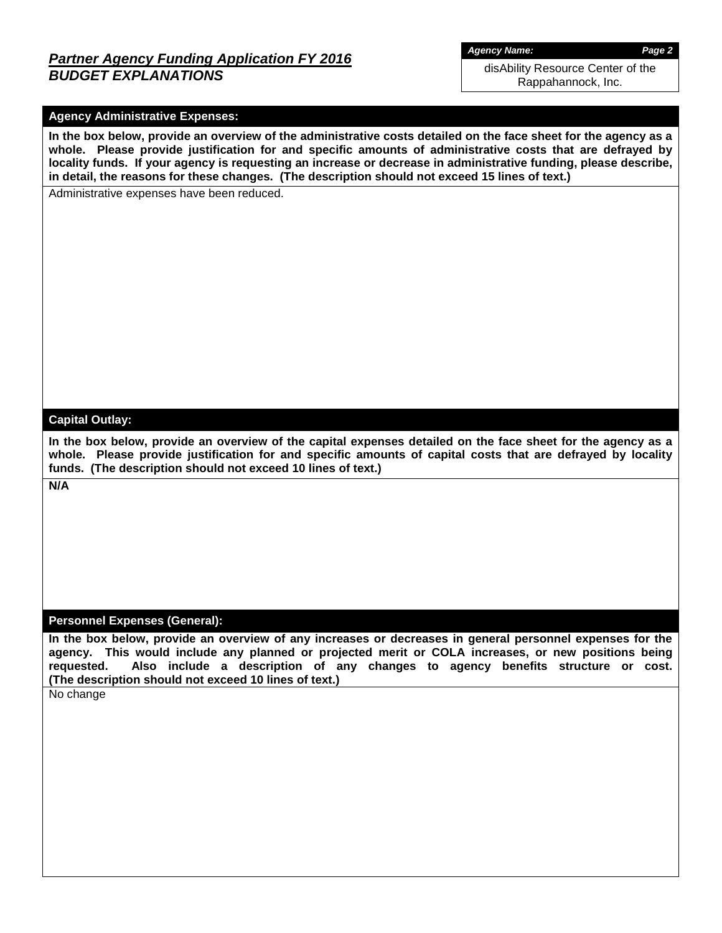# *Partner Agency Funding Application FY 2016 BUDGET EXPLANATIONS*

*Agency Name: Page 2*

disAbility Resource Center of the Rappahannock, Inc.

## **Agency Administrative Expenses:**

**In the box below, provide an overview of the administrative costs detailed on the face sheet for the agency as a whole. Please provide justification for and specific amounts of administrative costs that are defrayed by locality funds. If your agency is requesting an increase or decrease in administrative funding, please describe, in detail, the reasons for these changes. (The description should not exceed 15 lines of text.)**

Administrative expenses have been reduced.

#### **Capital Outlay:**

**In the box below, provide an overview of the capital expenses detailed on the face sheet for the agency as a whole. Please provide justification for and specific amounts of capital costs that are defrayed by locality funds. (The description should not exceed 10 lines of text.)**

**N/A**

### **Personnel Expenses (General):**

**In the box below, provide an overview of any increases or decreases in general personnel expenses for the agency. This would include any planned or projected merit or COLA increases, or new positions being requested. Also include a description of any changes to agency benefits structure or cost. (The description should not exceed 10 lines of text.)**

No change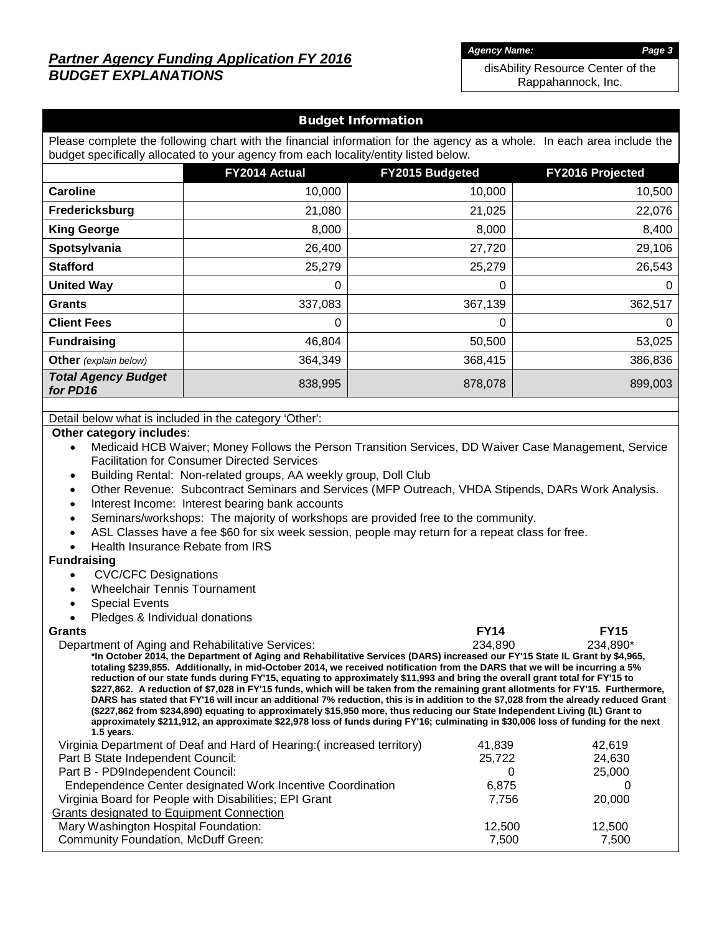# *Partner Agency Funding Application FY 2016 BUDGET EXPLANATIONS*

*Agency Name: Page 3*

disAbility Resource Center of the Rappahannock, Inc.

### Budget Information

Please complete the following chart with the financial information for the agency as a whole. In each area include the budget specifically allocated to your agency from each locality/entity listed below.

|                                        | FY2014 Actual | <b>FY2015 Budgeted</b> | FY2016 Projected |
|----------------------------------------|---------------|------------------------|------------------|
| <b>Caroline</b>                        | 10,000        | 10,000                 | 10,500           |
| Fredericksburg                         | 21,080        | 21,025                 | 22,076           |
| <b>King George</b>                     | 8,000         | 8,000                  | 8,400            |
| Spotsylvania                           | 26,400        | 27,720                 | 29,106           |
| <b>Stafford</b>                        | 25,279        | 25,279                 | 26,543           |
| <b>United Way</b>                      | 0             | 0                      | 0                |
| <b>Grants</b>                          | 337,083       | 367,139                | 362,517          |
| <b>Client Fees</b>                     | 0             | 0                      | 0                |
| <b>Fundraising</b>                     | 46,804        | 50,500                 | 53,025           |
| <b>Other</b> (explain below)           | 364,349       | 368,415                | 386,836          |
| <b>Total Agency Budget</b><br>for PD16 | 838,995       | 878,078                | 899,003          |

Detail below what is included in the category 'Other':

#### **Other category includes**:

- Medicaid HCB Waiver; Money Follows the Person Transition Services, DD Waiver Case Management, Service Facilitation for Consumer Directed Services
- Building Rental: Non-related groups, AA weekly group, Doll Club
- Other Revenue: Subcontract Seminars and Services (MFP Outreach, VHDA Stipends, DARs Work Analysis.
- Interest Income: Interest bearing bank accounts
- Seminars/workshops: The majority of workshops are provided free to the community.
- ASL Classes have a fee \$60 for six week session, people may return for a repeat class for free.
- Health Insurance Rebate from IRS

#### **Fundraising**

- CVC/CFC Designations
- Wheelchair Tennis Tournament
- **Special Events**
- Pledges & Individual donations

### **Grants FY14 FY15**

 Department of Aging and Rehabilitative Services: 234,890 234,890\* **\*In October 2014, the Department of Aging and Rehabilitative Services (DARS) increased our FY'15 State IL Grant by \$4,965, totaling \$239,855. Additionally, in mid-October 2014, we received notification from the DARS that we will be incurring a 5% reduction of our state funds during FY'15, equating to approximately \$11,993 and bring the overall grant total for FY'15 to \$227,862. A reduction of \$7,028 in FY'15 funds, which will be taken from the remaining grant allotments for FY'15. Furthermore, DARS has stated that FY'16 will incur an additional 7% reduction, this is in addition to the \$7,028 from the already reduced Grant (\$227,862 from \$234,890) equating to approximately \$15,950 more, thus reducing our State Independent Living (IL) Grant to approximately \$211,912, an approximate \$22,978 loss of funds during FY'16; culminating in \$30,006 loss of funding for the next 1.5 years.** Virginia Department of Deaf and Hard of Hearing:( increased territory) 41,839 42,619

| The principal and the production of the contract in the capped to more than | .      | .      |  |
|-----------------------------------------------------------------------------|--------|--------|--|
| Part B State Independent Council:                                           | 25,722 | 24.630 |  |
| Part B - PD9Independent Council:                                            |        | 25,000 |  |
| Endependence Center designated Work Incentive Coordination                  | 6.875  |        |  |
| Virginia Board for People with Disabilities; EPI Grant                      | 7.756  | 20,000 |  |
| Grants designated to Equipment Connection                                   |        |        |  |
| Mary Washington Hospital Foundation:                                        | 12.500 | 12.500 |  |
| <b>Community Foundation, McDuff Green:</b>                                  | 7.500  | 7,500  |  |
|                                                                             |        |        |  |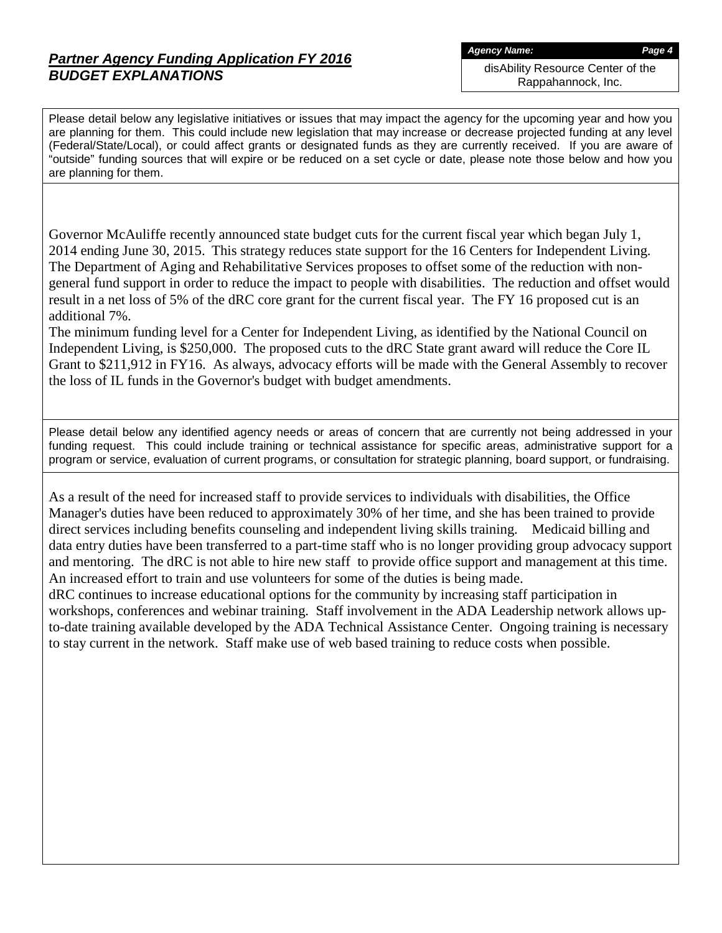# *Partner Agency Funding Application FY 2016 BUDGET EXPLANATIONS*

*Agency Name: Page 4*

disAbility Resource Center of the Rappahannock, Inc.

Please detail below any legislative initiatives or issues that may impact the agency for the upcoming year and how you are planning for them. This could include new legislation that may increase or decrease projected funding at any level (Federal/State/Local), or could affect grants or designated funds as they are currently received. If you are aware of "outside" funding sources that will expire or be reduced on a set cycle or date, please note those below and how you are planning for them.

Governor McAuliffe recently announced state budget cuts for the current fiscal year which began July 1, 2014 ending June 30, 2015. This strategy reduces state support for the 16 Centers for Independent Living. The Department of Aging and Rehabilitative Services proposes to offset some of the reduction with nongeneral fund support in order to reduce the impact to people with disabilities. The reduction and offset would result in a net loss of 5% of the dRC core grant for the current fiscal year. The FY 16 proposed cut is an additional 7%.

The minimum funding level for a Center for Independent Living, as identified by the National Council on Independent Living, is \$250,000. The proposed cuts to the dRC State grant award will reduce the Core IL Grant to \$211,912 in FY16. As always, advocacy efforts will be made with the General Assembly to recover the loss of IL funds in the Governor's budget with budget amendments.

Please detail below any identified agency needs or areas of concern that are currently not being addressed in your funding request. This could include training or technical assistance for specific areas, administrative support for a program or service, evaluation of current programs, or consultation for strategic planning, board support, or fundraising.

As a result of the need for increased staff to provide services to individuals with disabilities, the Office Manager's duties have been reduced to approximately 30% of her time, and she has been trained to provide direct services including benefits counseling and independent living skills training. Medicaid billing and data entry duties have been transferred to a part-time staff who is no longer providing group advocacy support and mentoring. The dRC is not able to hire new staff to provide office support and management at this time. An increased effort to train and use volunteers for some of the duties is being made.

dRC continues to increase educational options for the community by increasing staff participation in workshops, conferences and webinar training. Staff involvement in the ADA Leadership network allows upto-date training available developed by the ADA Technical Assistance Center. Ongoing training is necessary to stay current in the network. Staff make use of web based training to reduce costs when possible.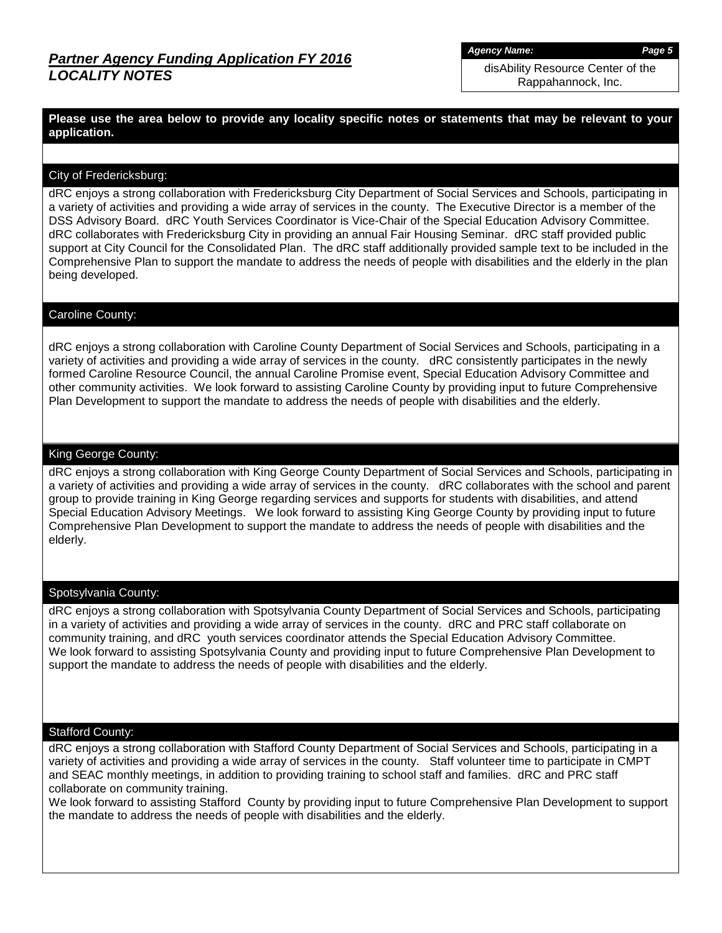*Agency Name: Page 5*

disAbility Resource Center of the Rappahannock, Inc.

**Please use the area below to provide any locality specific notes or statements that may be relevant to your application.**

### City of Fredericksburg:

dRC enjoys a strong collaboration with Fredericksburg City Department of Social Services and Schools, participating in a variety of activities and providing a wide array of services in the county. The Executive Director is a member of the DSS Advisory Board. dRC Youth Services Coordinator is Vice-Chair of the Special Education Advisory Committee. dRC collaborates with Fredericksburg City in providing an annual Fair Housing Seminar. dRC staff provided public support at City Council for the Consolidated Plan. The dRC staff additionally provided sample text to be included in the Comprehensive Plan to support the mandate to address the needs of people with disabilities and the elderly in the plan being developed.

### Caroline County:

dRC enjoys a strong collaboration with Caroline County Department of Social Services and Schools, participating in a variety of activities and providing a wide array of services in the county. dRC consistently participates in the newly formed Caroline Resource Council, the annual Caroline Promise event, Special Education Advisory Committee and other community activities. We look forward to assisting Caroline County by providing input to future Comprehensive Plan Development to support the mandate to address the needs of people with disabilities and the elderly.

### King George County:

dRC enjoys a strong collaboration with King George County Department of Social Services and Schools, participating in a variety of activities and providing a wide array of services in the county. dRC collaborates with the school and parent group to provide training in King George regarding services and supports for students with disabilities, and attend Special Education Advisory Meetings. We look forward to assisting King George County by providing input to future Comprehensive Plan Development to support the mandate to address the needs of people with disabilities and the elderly.

#### Spotsylvania County:

dRC enjoys a strong collaboration with Spotsylvania County Department of Social Services and Schools, participating in a variety of activities and providing a wide array of services in the county. dRC and PRC staff collaborate on community training, and dRC youth services coordinator attends the Special Education Advisory Committee. We look forward to assisting Spotsylvania County and providing input to future Comprehensive Plan Development to support the mandate to address the needs of people with disabilities and the elderly.

### Stafford County:

dRC enjoys a strong collaboration with Stafford County Department of Social Services and Schools, participating in a variety of activities and providing a wide array of services in the county. Staff volunteer time to participate in CMPT and SEAC monthly meetings, in addition to providing training to school staff and families. dRC and PRC staff collaborate on community training.

We look forward to assisting Stafford County by providing input to future Comprehensive Plan Development to support the mandate to address the needs of people with disabilities and the elderly.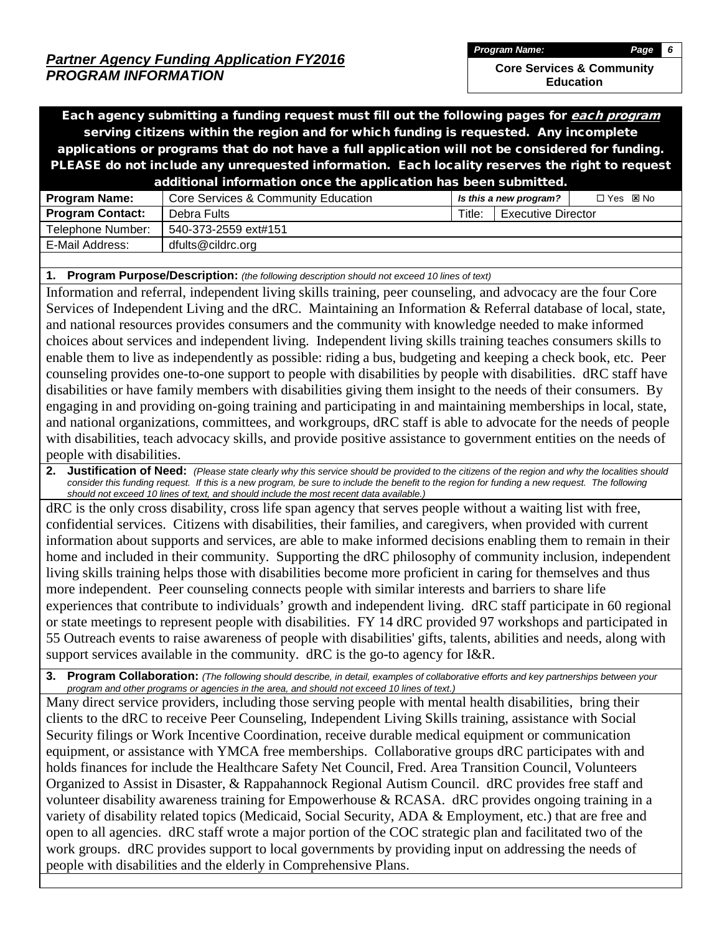**Core Services & Community Education**

Each agency submitting a funding request must fill out the following pages for each program serving citizens within the region and for which funding is requested. Any incomplete applications or programs that do not have a full application will not be considered for funding. PLEASE do not include any unrequested information. Each locality reserves the right to request additional information once the application has

|                         | additional information once the application has been submitted. |        |                           |            |
|-------------------------|-----------------------------------------------------------------|--------|---------------------------|------------|
| <b>Program Name:</b>    | Core Services & Community Education                             |        | Is this a new program?    | □ Yes ⊠ No |
| <b>Program Contact:</b> | Debra Fults                                                     | Title: | <b>Executive Director</b> |            |
| Telephone Number:       | 540-373-2559 ext#151                                            |        |                           |            |
| E-Mail Address:         | dfults@cildrc.org                                               |        |                           |            |
|                         |                                                                 |        |                           |            |

**1. Program Purpose/Description:** *(the following description should not exceed 10 lines of text)*

Information and referral, independent living skills training, peer counseling, and advocacy are the four Core Services of Independent Living and the dRC. Maintaining an Information & Referral database of local, state, and national resources provides consumers and the community with knowledge needed to make informed choices about services and independent living. Independent living skills training teaches consumers skills to enable them to live as independently as possible: riding a bus, budgeting and keeping a check book, etc. Peer counseling provides one-to-one support to people with disabilities by people with disabilities. dRC staff have disabilities or have family members with disabilities giving them insight to the needs of their consumers. By engaging in and providing on-going training and participating in and maintaining memberships in local, state, and national organizations, committees, and workgroups, dRC staff is able to advocate for the needs of people with disabilities, teach advocacy skills, and provide positive assistance to government entities on the needs of people with disabilities.

**2.** Justification of Need: (Please state clearly why this service should be provided to the citizens of the region and why the localities should consider this funding request. If this is a new program, be sure to include the benefit to the region for funding a new request. The following *should not exceed 10 lines of text, and should include the most recent data available.)*

dRC is the only cross disability, cross life span agency that serves people without a waiting list with free, confidential services. Citizens with disabilities, their families, and caregivers, when provided with current information about supports and services, are able to make informed decisions enabling them to remain in their home and included in their community. Supporting the dRC philosophy of community inclusion, independent living skills training helps those with disabilities become more proficient in caring for themselves and thus more independent. Peer counseling connects people with similar interests and barriers to share life experiences that contribute to individuals' growth and independent living. dRC staff participate in 60 regional or state meetings to represent people with disabilities. FY 14 dRC provided 97 workshops and participated in 55 Outreach events to raise awareness of people with disabilities' gifts, talents, abilities and needs, along with support services available in the community. dRC is the go-to agency for I&R.

**3. Program Collaboration:** *(The following should describe, in detail, examples of collaborative efforts and key partnerships between your program and other programs or agencies in the area, and should not exceed 10 lines of text.)*

Many direct service providers, including those serving people with mental health disabilities, bring their clients to the dRC to receive Peer Counseling, Independent Living Skills training, assistance with Social Security filings or Work Incentive Coordination, receive durable medical equipment or communication equipment, or assistance with YMCA free memberships. Collaborative groups dRC participates with and holds finances for include the Healthcare Safety Net Council, Fred. Area Transition Council, Volunteers Organized to Assist in Disaster, & Rappahannock Regional Autism Council. dRC provides free staff and volunteer disability awareness training for Empowerhouse & RCASA. dRC provides ongoing training in a variety of disability related topics (Medicaid, Social Security, ADA & Employment, etc.) that are free and open to all agencies. dRC staff wrote a major portion of the COC strategic plan and facilitated two of the work groups. dRC provides support to local governments by providing input on addressing the needs of people with disabilities and the elderly in Comprehensive Plans.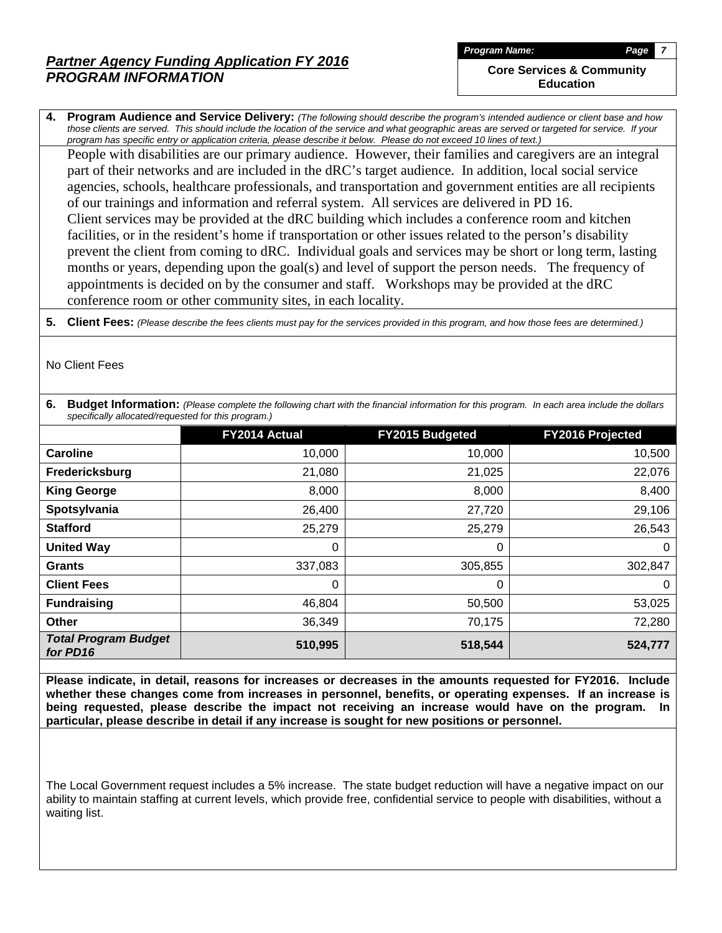**Core Services & Community Education**

**4. Program Audience and Service Delivery:** *(The following should describe the program's intended audience or client base and how those clients are served. This should include the location of the service and what geographic areas are served or targeted for service. If your program has specific entry or application criteria, please describe it below. Please do not exceed 10 lines of text.)*

People with disabilities are our primary audience. However, their families and caregivers are an integral part of their networks and are included in the dRC's target audience. In addition, local social service agencies, schools, healthcare professionals, and transportation and government entities are all recipients of our trainings and information and referral system. All services are delivered in PD 16. Client services may be provided at the dRC building which includes a conference room and kitchen facilities, or in the resident's home if transportation or other issues related to the person's disability prevent the client from coming to dRC. Individual goals and services may be short or long term, lasting months or years, depending upon the goal(s) and level of support the person needs. The frequency of appointments is decided on by the consumer and staff. Workshops may be provided at the dRC conference room or other community sites, in each locality.

**5. Client Fees:** *(Please describe the fees clients must pay for the services provided in this program, and how those fees are determined.)*

No Client Fees

**6. Budget Information:** *(Please complete the following chart with the financial information for this program. In each area include the dollars specifically allocated/requested for this program.)*

|                                         | FY2014 Actual | FY2015 Budgeted | FY2016 Projected |
|-----------------------------------------|---------------|-----------------|------------------|
| <b>Caroline</b>                         | 10,000        | 10,000          | 10,500           |
| Fredericksburg                          | 21,080        | 21,025          | 22,076           |
| <b>King George</b>                      | 8,000         | 8,000           | 8,400            |
| Spotsylvania                            | 26,400        | 27,720          | 29,106           |
| <b>Stafford</b>                         | 25,279        | 25,279          | 26,543           |
| <b>United Way</b>                       | 0             | 0               | $\Omega$         |
| <b>Grants</b>                           | 337,083       | 305,855         | 302,847          |
| <b>Client Fees</b>                      | 0             | 0               | $\Omega$         |
| <b>Fundraising</b>                      | 46,804        | 50,500          | 53,025           |
| Other                                   | 36,349        | 70,175          | 72,280           |
| <b>Total Program Budget</b><br>for PD16 | 510,995       | 518,544         | 524,777          |

**Please indicate, in detail, reasons for increases or decreases in the amounts requested for FY2016. Include whether these changes come from increases in personnel, benefits, or operating expenses. If an increase is being requested, please describe the impact not receiving an increase would have on the program. In particular, please describe in detail if any increase is sought for new positions or personnel.**

The Local Government request includes a 5% increase. The state budget reduction will have a negative impact on our ability to maintain staffing at current levels, which provide free, confidential service to people with disabilities, without a waiting list.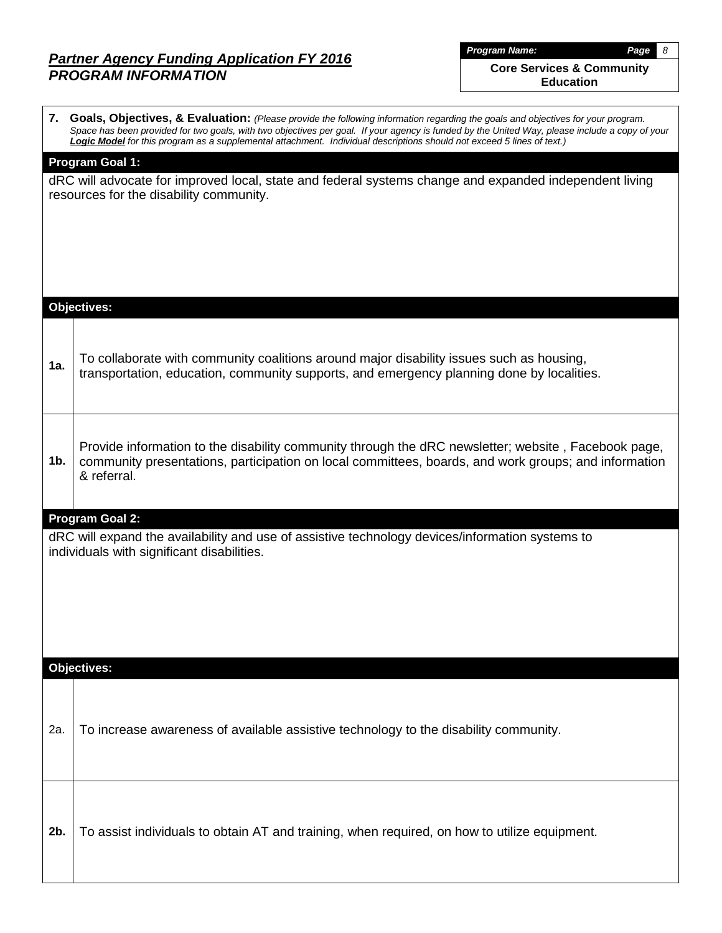**Core Services & Community Education**

|     | 7. Goals, Objectives, & Evaluation: (Please provide the following information regarding the goals and objectives for your program.<br>Space has been provided for two goals, with two objectives per goal. If your agency is funded by the United Way, please include a copy of your<br>Logic Model for this program as a supplemental attachment. Individual descriptions should not exceed 5 lines of text.) |  |  |  |  |  |  |  |  |  |
|-----|----------------------------------------------------------------------------------------------------------------------------------------------------------------------------------------------------------------------------------------------------------------------------------------------------------------------------------------------------------------------------------------------------------------|--|--|--|--|--|--|--|--|--|
|     | <b>Program Goal 1:</b><br>dRC will advocate for improved local, state and federal systems change and expanded independent living<br>resources for the disability community.                                                                                                                                                                                                                                    |  |  |  |  |  |  |  |  |  |
|     | <b>Objectives:</b>                                                                                                                                                                                                                                                                                                                                                                                             |  |  |  |  |  |  |  |  |  |
| 1a. | To collaborate with community coalitions around major disability issues such as housing,<br>transportation, education, community supports, and emergency planning done by localities.                                                                                                                                                                                                                          |  |  |  |  |  |  |  |  |  |
| 1b. | Provide information to the disability community through the dRC newsletter; website, Facebook page,<br>community presentations, participation on local committees, boards, and work groups; and information<br>& referral.                                                                                                                                                                                     |  |  |  |  |  |  |  |  |  |
|     | <b>Program Goal 2:</b><br>dRC will expand the availability and use of assistive technology devices/information systems to<br>individuals with significant disabilities.                                                                                                                                                                                                                                        |  |  |  |  |  |  |  |  |  |
|     | Objectives:                                                                                                                                                                                                                                                                                                                                                                                                    |  |  |  |  |  |  |  |  |  |
| 2a. | To increase awareness of available assistive technology to the disability community.                                                                                                                                                                                                                                                                                                                           |  |  |  |  |  |  |  |  |  |
| 2b. | To assist individuals to obtain AT and training, when required, on how to utilize equipment.                                                                                                                                                                                                                                                                                                                   |  |  |  |  |  |  |  |  |  |

*Program Name: Page 8*

 $\overline{\mathbf{I}}$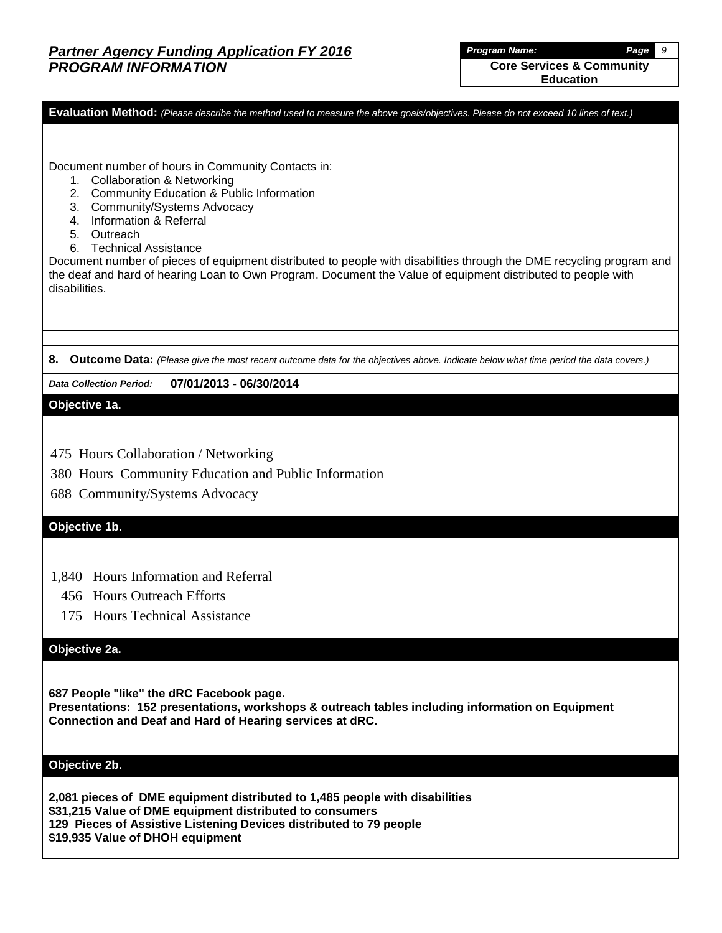*Program Name: Page 9* **Core Services & Community Education**

**Evaluation Method:** *(Please describe the method used to measure the above goals/objectives. Please do not exceed 10 lines of text.)*

Document number of hours in Community Contacts in:

- 1. Collaboration & Networking
- 2. Community Education & Public Information
- 3. Community/Systems Advocacy
- 4. Information & Referral
- 5. Outreach
- 6. Technical Assistance

Document number of pieces of equipment distributed to people with disabilities through the DME recycling program and the deaf and hard of hearing Loan to Own Program. Document the Value of equipment distributed to people with disabilities.

**8. Outcome Data:** *(Please give the most recent outcome data for the objectives above. Indicate below what time period the data covers.)*

*Data Collection Period:* **07/01/2013 - 06/30/2014**

### **Objective 1a.**

- 475 Hours Collaboration / Networking
- 380 Hours Community Education and Public Information
- 688 Community/Systems Advocacy

### **Objective 1b.**

- 1,840 Hours Information and Referral
	- 456 Hours Outreach Efforts
	- 175 Hours Technical Assistance

### **Objective 2a.**

**687 People "like" the dRC Facebook page.**

**Presentations: 152 presentations, workshops & outreach tables including information on Equipment Connection and Deaf and Hard of Hearing services at dRC.**

### **Objective 2b.**

**2,081 pieces of DME equipment distributed to 1,485 people with disabilities \$31,215 Value of DME equipment distributed to consumers 129 Pieces of Assistive Listening Devices distributed to 79 people \$19,935 Value of DHOH equipment**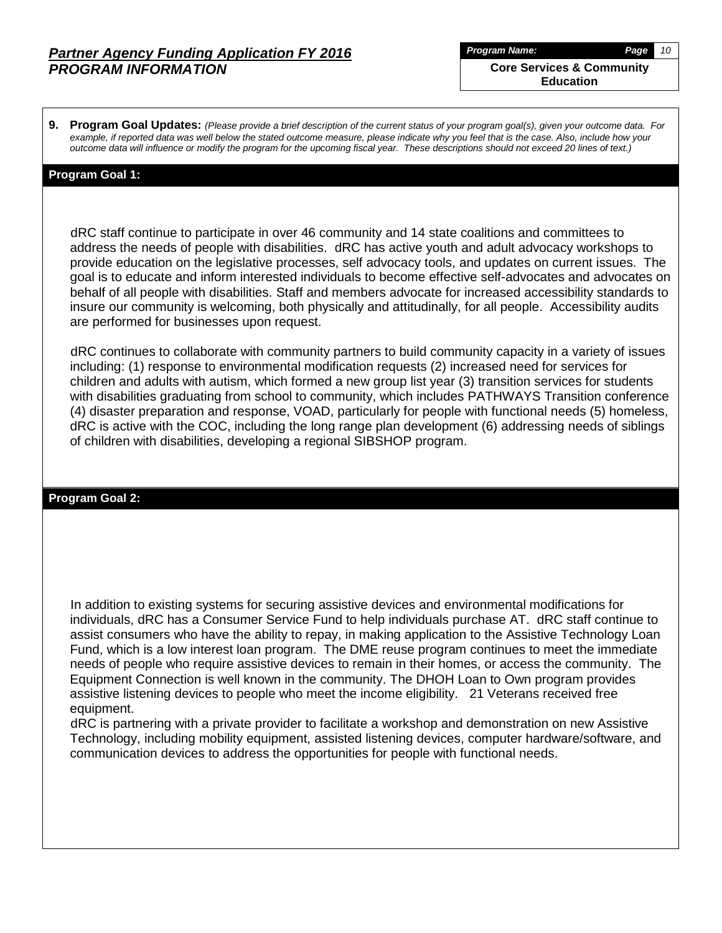**Core Services & Community Education**

**9. Program Goal Updates:** *(Please provide a brief description of the current status of your program goal(s), given your outcome data. For example, if reported data was well below the stated outcome measure, please indicate why you feel that is the case. Also, include how your outcome data will influence or modify the program for the upcoming fiscal year. These descriptions should not exceed 20 lines of text.)*

### **Program Goal 1:**

 dRC staff continue to participate in over 46 community and 14 state coalitions and committees to address the needs of people with disabilities. dRC has active youth and adult advocacy workshops to provide education on the legislative processes, self advocacy tools, and updates on current issues. The goal is to educate and inform interested individuals to become effective self-advocates and advocates on behalf of all people with disabilities. Staff and members advocate for increased accessibility standards to insure our community is welcoming, both physically and attitudinally, for all people. Accessibility audits are performed for businesses upon request.

 dRC continues to collaborate with community partners to build community capacity in a variety of issues including: (1) response to environmental modification requests (2) increased need for services for children and adults with autism, which formed a new group list year (3) transition services for students with disabilities graduating from school to community, which includes PATHWAYS Transition conference (4) disaster preparation and response, VOAD, particularly for people with functional needs (5) homeless, dRC is active with the COC, including the long range plan development (6) addressing needs of siblings of children with disabilities, developing a regional SIBSHOP program.

### **Program Goal 2:**

 In addition to existing systems for securing assistive devices and environmental modifications for individuals, dRC has a Consumer Service Fund to help individuals purchase AT. dRC staff continue to assist consumers who have the ability to repay, in making application to the Assistive Technology Loan Fund, which is a low interest loan program. The DME reuse program continues to meet the immediate needs of people who require assistive devices to remain in their homes, or access the community. The Equipment Connection is well known in the community. The DHOH Loan to Own program provides assistive listening devices to people who meet the income eligibility. 21 Veterans received free equipment.

 dRC is partnering with a private provider to facilitate a workshop and demonstration on new Assistive Technology, including mobility equipment, assisted listening devices, computer hardware/software, and communication devices to address the opportunities for people with functional needs.

*Program Name: Page 10*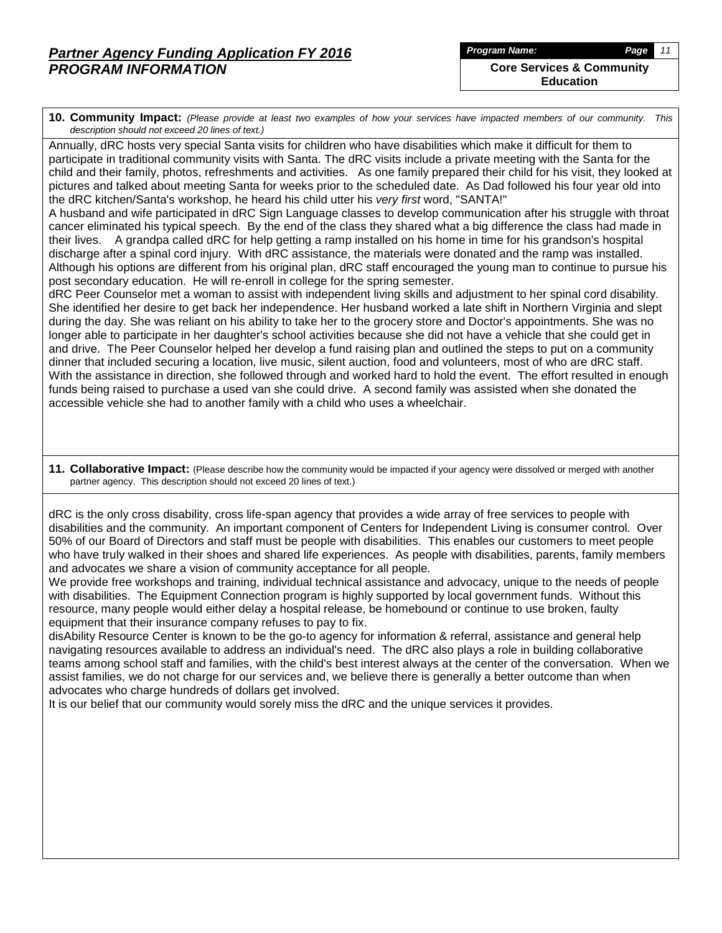**10. Community Impact:** *(Please provide at least two examples of how your services have impacted members of our community. This description should not exceed 20 lines of text.)*

Annually, dRC hosts very special Santa visits for children who have disabilities which make it difficult for them to participate in traditional community visits with Santa. The dRC visits include a private meeting with the Santa for the child and their family, photos, refreshments and activities. As one family prepared their child for his visit, they looked at pictures and talked about meeting Santa for weeks prior to the scheduled date. As Dad followed his four year old into the dRC kitchen/Santa's workshop, he heard his child utter his *very first* word, "SANTA!"

A husband and wife participated in dRC Sign Language classes to develop communication after his struggle with throat cancer eliminated his typical speech. By the end of the class they shared what a big difference the class had made in their lives. A grandpa called dRC for help getting a ramp installed on his home in time for his grandson's hospital discharge after a spinal cord injury. With dRC assistance, the materials were donated and the ramp was installed. Although his options are different from his original plan, dRC staff encouraged the young man to continue to pursue his post secondary education. He will re-enroll in college for the spring semester.

dRC Peer Counselor met a woman to assist with independent living skills and adjustment to her spinal cord disability. She identified her desire to get back her independence. Her husband worked a late shift in Northern Virginia and slept during the day. She was reliant on his ability to take her to the grocery store and Doctor's appointments. She was no longer able to participate in her daughter's school activities because she did not have a vehicle that she could get in and drive. The Peer Counselor helped her develop a fund raising plan and outlined the steps to put on a community dinner that included securing a location, live music, silent auction, food and volunteers, most of who are dRC staff. With the assistance in direction, she followed through and worked hard to hold the event. The effort resulted in enough funds being raised to purchase a used van she could drive. A second family was assisted when she donated the accessible vehicle she had to another family with a child who uses a wheelchair.

**11. Collaborative Impact:** (Please describe how the community would be impacted if your agency were dissolved or merged with another partner agency. This description should not exceed 20 lines of text.)

dRC is the only cross disability, cross life-span agency that provides a wide array of free services to people with disabilities and the community. An important component of Centers for Independent Living is consumer control. Over 50% of our Board of Directors and staff must be people with disabilities. This enables our customers to meet people who have truly walked in their shoes and shared life experiences. As people with disabilities, parents, family members and advocates we share a vision of community acceptance for all people.

We provide free workshops and training, individual technical assistance and advocacy, unique to the needs of people with disabilities. The Equipment Connection program is highly supported by local government funds. Without this resource, many people would either delay a hospital release, be homebound or continue to use broken, faulty equipment that their insurance company refuses to pay to fix.

disAbility Resource Center is known to be the go-to agency for information & referral, assistance and general help navigating resources available to address an individual's need. The dRC also plays a role in building collaborative teams among school staff and families, with the child's best interest always at the center of the conversation. When we assist families, we do not charge for our services and, we believe there is generally a better outcome than when advocates who charge hundreds of dollars get involved.

It is our belief that our community would sorely miss the dRC and the unique services it provides.